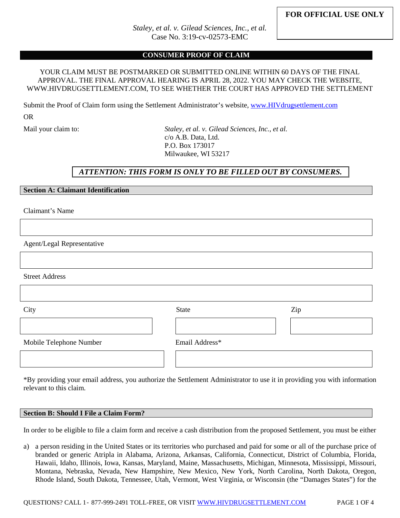*Staley, et al. v. Gilead Sciences, Inc., et al.* Case No. 3:19-cv-02573-EMC

#### **CONSUMER PROOF OF CLAIM**

#### YOUR CLAIM MUST BE POSTMARKED OR SUBMITTED ONLINE WITHIN 60 DAYS OF THE FINAL APPROVAL. THE FINAL APPROVAL HEARING IS APRIL 28, 2022. YOU MAY CHECK THE WEBSITE, WWW.HIVDRUGSETTLEMENT.COM, TO SEE WHETHER THE COURT HAS APPROVED THE SETTLEMENT

Submit the Proof of Claim form using the Settlement Administrator's website[, www.HIVdrugsettlement.com](http://www.hivdrugsettlement.com/) OR

Mail your claim to: *Staley, et al. v. Gilead Sciences, Inc., et al.* c/o A.B. Data, Ltd. P.O. Box 173017 Milwaukee, WI 53217

# *ATTENTION: THIS FORM IS ONLY TO BE FILLED OUT BY CONSUMERS.*

## **Section A: Claimant Identification**

Claimant's Name

Agent/Legal Representative

Street Address

| City                    | <b>State</b>   | Zip |  |  |  |
|-------------------------|----------------|-----|--|--|--|
|                         |                |     |  |  |  |
| Mobile Telephone Number | Email Address* |     |  |  |  |
|                         |                |     |  |  |  |

\*By providing your email address, you authorize the Settlement Administrator to use it in providing you with information relevant to this claim.

#### **Section B: Should I File a Claim Form?**

In order to be eligible to file a claim form and receive a cash distribution from the proposed Settlement, you must be either

a) a person residing in the United States or its territories who purchased and paid for some or all of the purchase price of branded or generic Atripla in Alabama, Arizona, Arkansas, California, Connecticut, District of Columbia, Florida, Hawaii, Idaho, Illinois, Iowa, Kansas, Maryland, Maine, Massachusetts, Michigan, Minnesota, Mississippi, Missouri, Montana, Nebraska, Nevada, New Hampshire, New Mexico, New York, North Carolina, North Dakota, Oregon, Rhode Island, South Dakota, Tennessee, Utah, Vermont, West Virginia, or Wisconsin (the "Damages States") for the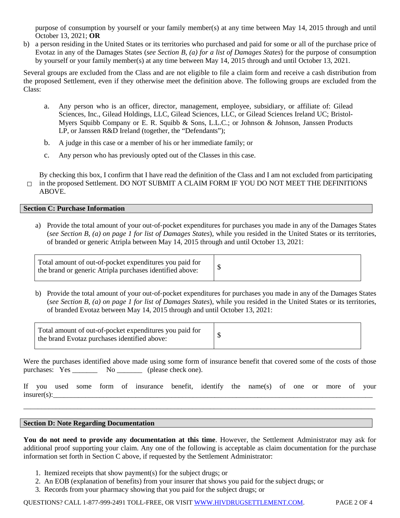purpose of consumption by yourself or your family member(s) at any time between May 14, 2015 through and until October 13, 2021; **OR**

b) a person residing in the United States or its territories who purchased and paid for some or all of the purchase price of Evotaz in any of the Damages States (*see Section B, (a) for a list of Damages States*) for the purpose of consumption by yourself or your family member(s) at any time between May 14, 2015 through and until October 13, 2021.

Several groups are excluded from the Class and are not eligible to file a claim form and receive a cash distribution from the proposed Settlement, even if they otherwise meet the definition above. The following groups are excluded from the Class:

- a. Any person who is an officer, director, management, employee, subsidiary, or affiliate of: Gilead Sciences, Inc., Gilead Holdings, LLC, Gilead Sciences, LLC, or Gilead Sciences Ireland UC; Bristol-Myers Squibb Company or E. R. Squibb & Sons, L.L.C.; or Johnson & Johnson, Janssen Products LP, or Janssen R&D Ireland (together, the "Defendants");
- b. A judge in this case or a member of his or her immediate family; or
- c. Any person who has previously opted out of the Classes in this case.

□ in the proposed Settlement. DO NOT SUBMIT A CLAIM FORM IF YOU DO NOT MEET THE DEFINITIONS By checking this box, I confirm that I have read the definition of the Class and I am not excluded from participating ABOVE.

## **Section C: Purchase Information**

a) Provide the total amount of your out‐of‐pocket expenditures for purchases you made in any of the Damages States (*see Section B, (a) on page 1 for list of Damages States*), while you resided in the United States or its territories, of branded or generic Atripla between May 14, 2015 through and until October 13, 2021:

Total amount of out-of-pocket expenditures you paid for the brand or generic Atripla purchases identified above:

b) Provide the total amount of your out‐of‐pocket expenditures for purchases you made in any of the Damages States (*see Section B, (a) on page 1 for list of Damages States*), while you resided in the United States or its territories, of branded Evotaz between May 14, 2015 through and until October 13, 2021:

| Total amount of out-of-pocket expenditures you paid for<br>the brand Evotaz purchases identified above: |  |
|---------------------------------------------------------------------------------------------------------|--|
|---------------------------------------------------------------------------------------------------------|--|

Were the purchases identified above made using some form of insurance benefit that covered some of the costs of those purchases: Yes \_\_\_\_\_\_\_\_ No \_\_\_\_\_\_\_ (please check one).

|                |  |  | If you used some form of insurance benefit, identify the name(s) of one or more of your |  |  |  |  |  |
|----------------|--|--|-----------------------------------------------------------------------------------------|--|--|--|--|--|
| $insurer(s)$ : |  |  |                                                                                         |  |  |  |  |  |

\_\_\_\_\_\_\_\_\_\_\_\_\_\_\_\_\_\_\_\_\_\_\_\_\_\_\_\_\_\_\_\_\_\_\_\_\_\_\_\_\_\_\_\_\_\_\_\_\_\_\_\_\_\_\_\_\_\_\_\_\_\_\_\_\_\_\_\_\_\_\_\_\_\_\_\_\_\_\_\_\_\_\_\_\_\_\_\_\_\_\_\_\_\_\_\_\_\_

## **Section D: Note Regarding Documentation**

**You do not need to provide any documentation at this time**. However, the Settlement Administrator may ask for additional proof supporting your claim. Any one of the following is acceptable as claim documentation for the purchase information set forth in Section C above, if requested by the Settlement Administrator:

- 1. Itemized receipts that show payment(s) for the subject drugs; or
- 2. An EOB (explanation of benefits) from your insurer that shows you paid for the subject drugs; or
- 3. Records from your pharmacy showing that you paid for the subject drugs; or

QUESTIONS? CALL 1-877-999-2491 TOLL-FREE, OR VISIT [WWW.HIVDRUGSETTLEMENT.COM.](http://www.hivdrugsettlement.com/) PAGE 2 OF 4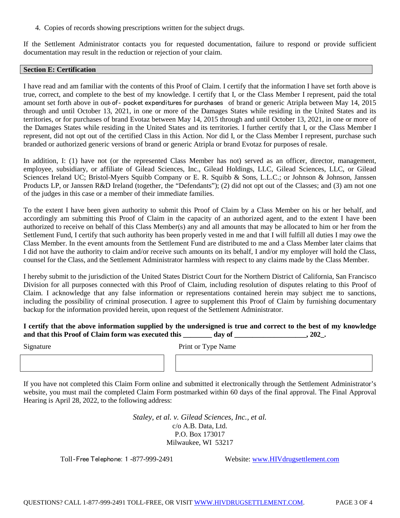4. Copies of records showing prescriptions written for the subject drugs.

If the Settlement Administrator contacts you for requested documentation, failure to respond or provide sufficient documentation may result in the reduction or rejection of your claim.

# **Section E: Certification**

I have read and am familiar with the contents of this Proof of Claim. I certify that the information I have set forth above is true, correct, and complete to the best of my knowledge. I certify that I, or the Class Member I represent, paid the total amount set forth above in out-of- pocket expenditures for purchases of brand or generic Atripla between May 14, 2015 through and until October 13, 2021, in one or more of the Damages States while residing in the United States and its territories, or for purchases of brand Evotaz between May 14, 2015 through and until October 13, 2021, in one or more of the Damages States while residing in the United States and its territories. I further certify that I, or the Class Member I represent, did not opt out of the certified Class in this Action. Nor did I, or the Class Member I represent, purchase such branded or authorized generic versions of brand or generic Atripla or brand Evotaz for purposes of resale.

In addition, I: (1) have not (or the represented Class Member has not) served as an officer, director, management, employee, subsidiary, or affiliate of Gilead Sciences, Inc., Gilead Holdings, LLC, Gilead Sciences, LLC, or Gilead Sciences Ireland UC; Bristol-Myers Squibb Company or E. R. Squibb & Sons, L.L.C.; or Johnson & Johnson, Janssen Products LP, or Janssen R&D Ireland (together, the "Defendants"); (2) did not opt out of the Classes; and (3) am not one of the judges in this case or a member of their immediate families.

To the extent I have been given authority to submit this Proof of Claim by a Class Member on his or her behalf, and accordingly am submitting this Proof of Claim in the capacity of an authorized agent, and to the extent I have been authorized to receive on behalf of this Class Member(s) any and all amounts that may be allocated to him or her from the Settlement Fund, I certify that such authority has been properly vested in me and that I will fulfill all duties I may owe the Class Member. In the event amounts from the Settlement Fund are distributed to me and a Class Member later claims that I did not have the authority to claim and/or receive such amounts on its behalf, I and/or my employer will hold the Class, counsel for the Class, and the Settlement Administrator harmless with respect to any claims made by the Class Member.

I hereby submit to the jurisdiction of the United States District Court for the Northern District of California, San Francisco Division for all purposes connected with this Proof of Claim, including resolution of disputes relating to this Proof of Claim. I acknowledge that any false information or representations contained herein may subject me to sanctions, including the possibility of criminal prosecution. I agree to supplement this Proof of Claim by furnishing documentary backup for the information provided herein, upon request of the Settlement Administrator.

# **I certify that the above information supplied by the undersigned is true and correct to the best of my knowledge**  and that this Proof of Claim form was executed this day of  $\qquad \qquad$ , 202.

Signature Print or Type Name

If you have not completed this Claim Form online and submitted it electronically through the Settlement Administrator's website, you must mail the completed Claim Form postmarked within 60 days of the final approval. The Final Approval Hearing is April 28, 2022, to the following address:

> *Staley, et al. v. Gilead Sciences, Inc., et al.* c/o A.B. Data, Ltd. P.O. Box 173017 Milwaukee, WI 53217

Toll-Free Telephone: 1 -877-999-2491 Website: [www.HIVdrugsettlement.com](http://www.hivdrugsettlement.com/)